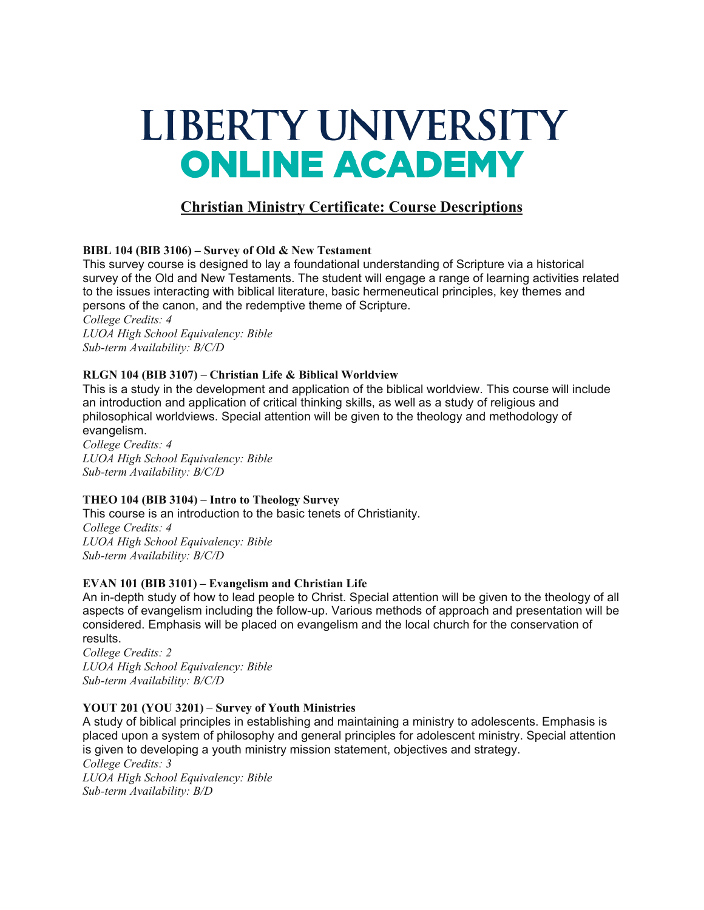# **LIBERTY UNIVERSITY ONLINE ACADEMY**

# **Christian Ministry Certificate: Course Descriptions**

## **BIBL 104 (BIB 3106) – Survey of Old & New Testament**

This survey course is designed to lay a foundational understanding of Scripture via a historical survey of the Old and New Testaments. The student will engage a range of learning activities related to the issues interacting with biblical literature, basic hermeneutical principles, key themes and persons of the canon, and the redemptive theme of Scripture.

*College Credits: 4*

*LUOA High School Equivalency: Bible Sub-term Availability: B/C/D*

#### **RLGN 104 (BIB 3107) – Christian Life & Biblical Worldview**

This is a study in the development and application of the biblical worldview. This course will include an introduction and application of critical thinking skills, as well as a study of religious and philosophical worldviews. Special attention will be given to the theology and methodology of evangelism.

*College Credits: 4 LUOA High School Equivalency: Bible Sub-term Availability: B/C/D*

## **THEO 104 (BIB 3104) – Intro to Theology Survey**

This course is an introduction to the basic tenets of Christianity.

*College Credits: 4 LUOA High School Equivalency: Bible Sub-term Availability: B/C/D*

#### **EVAN 101 (BIB 3101) – Evangelism and Christian Life**

An in-depth study of how to lead people to Christ. Special attention will be given to the theology of all aspects of evangelism including the follow-up. Various methods of approach and presentation will be considered. Emphasis will be placed on evangelism and the local church for the conservation of results.

*College Credits: 2 LUOA High School Equivalency: Bible Sub-term Availability: B/C/D*

#### **YOUT 201 (YOU 3201) – Survey of Youth Ministries**

A study of biblical principles in establishing and maintaining a ministry to adolescents. Emphasis is placed upon a system of philosophy and general principles for adolescent ministry. Special attention is given to developing a youth ministry mission statement, objectives and strategy. *College Credits: 3 LUOA High School Equivalency: Bible Sub-term Availability: B/D*